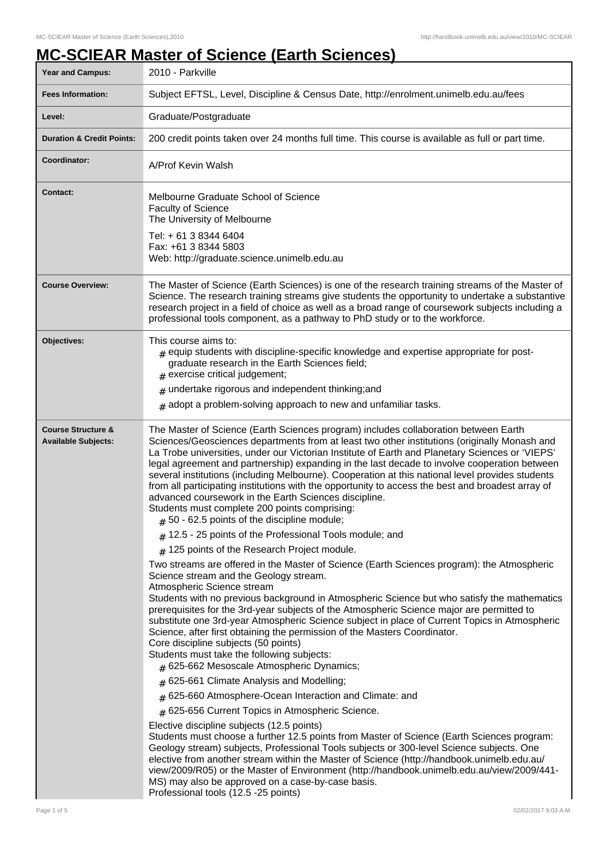## **MC-SCIEAR Master of Science (Earth Sciences)**

| Year and Campus:                                            | 2010 - Parkville                                                                                                                                                                                                                                                                                                                                                                                                                                                                                                                                                                                                                                                                                                                                                               |
|-------------------------------------------------------------|--------------------------------------------------------------------------------------------------------------------------------------------------------------------------------------------------------------------------------------------------------------------------------------------------------------------------------------------------------------------------------------------------------------------------------------------------------------------------------------------------------------------------------------------------------------------------------------------------------------------------------------------------------------------------------------------------------------------------------------------------------------------------------|
| <b>Fees Information:</b>                                    | Subject EFTSL, Level, Discipline & Census Date, http://enrolment.unimelb.edu.au/fees                                                                                                                                                                                                                                                                                                                                                                                                                                                                                                                                                                                                                                                                                           |
| Level:                                                      | Graduate/Postgraduate                                                                                                                                                                                                                                                                                                                                                                                                                                                                                                                                                                                                                                                                                                                                                          |
| <b>Duration &amp; Credit Points:</b>                        | 200 credit points taken over 24 months full time. This course is available as full or part time.                                                                                                                                                                                                                                                                                                                                                                                                                                                                                                                                                                                                                                                                               |
| Coordinator:                                                | A/Prof Kevin Walsh                                                                                                                                                                                                                                                                                                                                                                                                                                                                                                                                                                                                                                                                                                                                                             |
| <b>Contact:</b>                                             | Melbourne Graduate School of Science<br><b>Faculty of Science</b><br>The University of Melbourne<br>Tel: + 61 3 8344 6404<br>Fax: +61 3 8344 5803<br>Web: http://graduate.science.unimelb.edu.au                                                                                                                                                                                                                                                                                                                                                                                                                                                                                                                                                                               |
| <b>Course Overview:</b>                                     | The Master of Science (Earth Sciences) is one of the research training streams of the Master of<br>Science. The research training streams give students the opportunity to undertake a substantive<br>research project in a field of choice as well as a broad range of coursework subjects including a<br>professional tools component, as a pathway to PhD study or to the workforce.                                                                                                                                                                                                                                                                                                                                                                                        |
| Objectives:                                                 | This course aims to:<br>$#$ equip students with discipline-specific knowledge and expertise appropriate for post-<br>graduate research in the Earth Sciences field;<br>$#$ exercise critical judgement;<br>$#$ undertake rigorous and independent thinking; and<br>$#$ adopt a problem-solving approach to new and unfamiliar tasks.                                                                                                                                                                                                                                                                                                                                                                                                                                           |
| <b>Course Structure &amp;</b><br><b>Available Subjects:</b> | The Master of Science (Earth Sciences program) includes collaboration between Earth<br>Sciences/Geosciences departments from at least two other institutions (originally Monash and<br>La Trobe universities, under our Victorian Institute of Earth and Planetary Sciences or 'VIEPS'<br>legal agreement and partnership) expanding in the last decade to involve cooperation between<br>several institutions (including Melbourne). Cooperation at this national level provides students<br>from all participating institutions with the opportunity to access the best and broadest array of<br>advanced coursework in the Earth Sciences discipline.<br>Students must complete 200 points comprising:<br>$#$ 50 - 62.5 points of the discipline module;                    |
|                                                             | $#$ 12.5 - 25 points of the Professional Tools module; and                                                                                                                                                                                                                                                                                                                                                                                                                                                                                                                                                                                                                                                                                                                     |
|                                                             | $#$ 125 points of the Research Project module.<br>Two streams are offered in the Master of Science (Earth Sciences program): the Atmospheric<br>Science stream and the Geology stream.<br>Atmospheric Science stream<br>Students with no previous background in Atmospheric Science but who satisfy the mathematics<br>prerequisites for the 3rd-year subjects of the Atmospheric Science major are permitted to<br>substitute one 3rd-year Atmospheric Science subject in place of Current Topics in Atmospheric<br>Science, after first obtaining the permission of the Masters Coordinator.<br>Core discipline subjects (50 points)<br>Students must take the following subjects:<br># 625-662 Mesoscale Atmospheric Dynamics;<br># 625-661 Climate Analysis and Modelling; |
|                                                             | # 625-660 Atmosphere-Ocean Interaction and Climate: and                                                                                                                                                                                                                                                                                                                                                                                                                                                                                                                                                                                                                                                                                                                        |
|                                                             | $#$ 625-656 Current Topics in Atmospheric Science.                                                                                                                                                                                                                                                                                                                                                                                                                                                                                                                                                                                                                                                                                                                             |
|                                                             | Elective discipline subjects (12.5 points)<br>Students must choose a further 12.5 points from Master of Science (Earth Sciences program:<br>Geology stream) subjects, Professional Tools subjects or 300-level Science subjects. One<br>elective from another stream within the Master of Science (http://handbook.unimelb.edu.au/<br>view/2009/R05) or the Master of Environment (http://handbook.unimelb.edu.au/view/2009/441-<br>MS) may also be approved on a case-by-case basis.<br>Professional tools (12.5 -25 points)                                                                                                                                                                                                                                                  |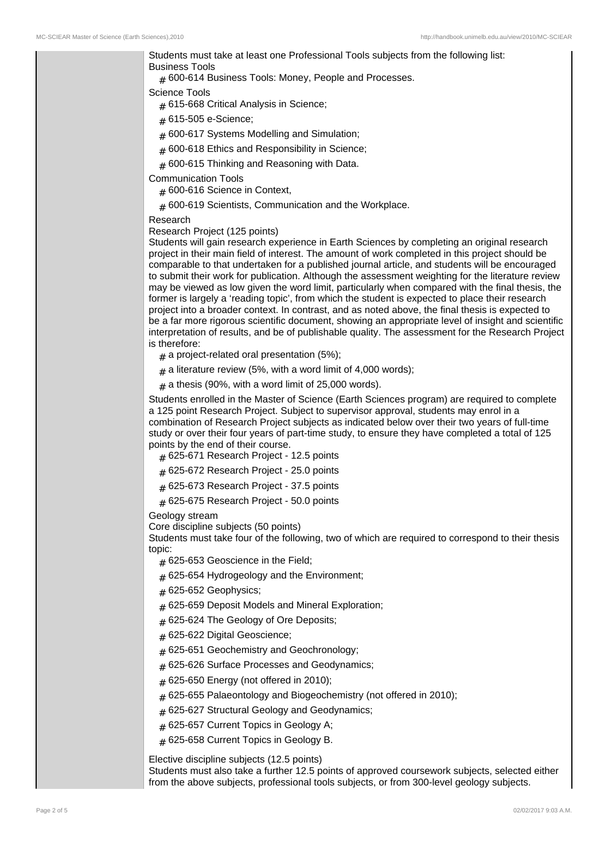Students must take at least one Professional Tools subjects from the following list: Business Tools

 $_{\rm \#}$  600-614 Business Tools: Money, People and Processes.

## Science Tools

 $_{\#}$  615-668 Critical Analysis in Science;

- # 615-505 e-Science;
- ${}_{\#}$  600-617 Systems Modelling and Simulation;
- $_{\#}$  600-618 Ethics and Responsibility in Science;
- $_{\#}$  600-615 Thinking and Reasoning with Data.

Communication Tools

- $_{\rm \#}$  600-616 Science in Context,
- $_{\rm \#}$  600-619 Scientists, Communication and the Workplace.

## Research

## Research Project (125 points)

Students will gain research experience in Earth Sciences by completing an original research project in their main field of interest. The amount of work completed in this project should be comparable to that undertaken for a published journal article, and students will be encouraged to submit their work for publication. Although the assessment weighting for the literature review may be viewed as low given the word limit, particularly when compared with the final thesis, the former is largely a 'reading topic', from which the student is expected to place their research project into a broader context. In contrast, and as noted above, the final thesis is expected to be a far more rigorous scientific document, showing an appropriate level of insight and scientific interpretation of results, and be of publishable quality. The assessment for the Research Project is therefore:

- $_{\#}$  a project-related oral presentation (5%);
- $_{\#}$  a literature review (5%, with a word limit of 4,000 words);
- $_{\#}$  a thesis (90%, with a word limit of 25,000 words).

Students enrolled in the Master of Science (Earth Sciences program) are required to complete a 125 point Research Project. Subject to supervisor approval, students may enrol in a combination of Research Project subjects as indicated below over their two years of full-time study or over their four years of part-time study, to ensure they have completed a total of 125 points by the end of their course.

- $_{\rm \#}$  625-671 Research Project 12.5 points
- $_{\rm \#}$  625-672 Research Project 25.0 points
- $_{\rm \#}$  625-673 Research Project 37.5 points
- $_{\rm \#}$  625-675 Research Project 50.0 points

Geology stream

Core discipline subjects (50 points)

Students must take four of the following, two of which are required to correspond to their thesis topic:

- $_{\rm \#}$  625-653 Geoscience in the Field;
- $_{\#}$  625-654 Hydrogeology and the Environment;
- # 625-652 Geophysics;
- $_{\#}$  625-659 Deposit Models and Mineral Exploration;
- $_{\rm \#}$  625-624 The Geology of Ore Deposits;
- # 625-622 Digital Geoscience;
- # 625-651 Geochemistry and Geochronology;
- # 625-626 Surface Processes and Geodynamics;
- $_{\#}$  625-650 Energy (not offered in 2010);
- # 625-655 Palaeontology and Biogeochemistry (not offered in 2010);
- # 625-627 Structural Geology and Geodynamics;
- # 625-657 Current Topics in Geology A;
- # 625-658 Current Topics in Geology B.

Elective discipline subjects (12.5 points)

Students must also take a further 12.5 points of approved coursework subjects, selected either from the above subjects, professional tools subjects, or from 300-level geology subjects.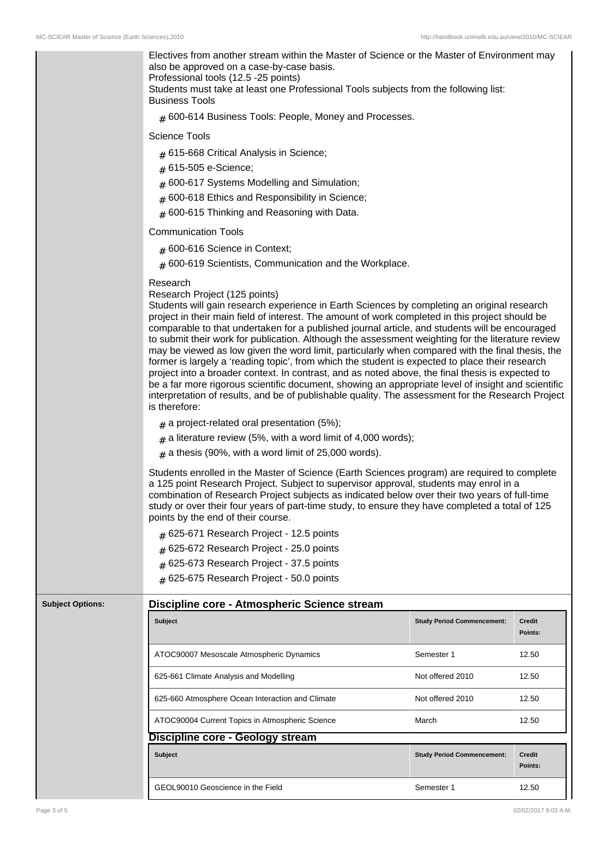Electives from another stream within the Master of Science or the Master of Environment may also be approved on a case-by-case basis. Professional tools (12.5 -25 points) Students must take at least one Professional Tools subjects from the following list: Business Tools  $_{\rm \#}$  600-614 Business Tools: People, Money and Processes. Science Tools  $_{\#}$  615-668 Critical Analysis in Science; # 615-505 e-Science;  $_{\#}$  600-617 Systems Modelling and Simulation;  $_{\rm \#}$  600-618 Ethics and Responsibility in Science;  $_{\#}$  600-615 Thinking and Reasoning with Data. Communication Tools  $_{\rm \#}$  600-616 Science in Context;  $_{\rm \#}$  600-619 Scientists, Communication and the Workplace. Research Research Project (125 points) Students will gain research experience in Earth Sciences by completing an original research project in their main field of interest. The amount of work completed in this project should be comparable to that undertaken for a published journal article, and students will be encouraged to submit their work for publication. Although the assessment weighting for the literature review may be viewed as low given the word limit, particularly when compared with the final thesis, the former is largely a 'reading topic', from which the student is expected to place their research project into a broader context. In contrast, and as noted above, the final thesis is expected to be a far more rigorous scientific document, showing an appropriate level of insight and scientific interpretation of results, and be of publishable quality. The assessment for the Research Project is therefore:  $_{\#}$  a project-related oral presentation (5%);  $_{\#}$  a literature review (5%, with a word limit of 4,000 words);  $_{\#}$  a thesis (90%, with a word limit of 25,000 words). Students enrolled in the Master of Science (Earth Sciences program) are required to complete a 125 point Research Project. Subject to supervisor approval, students may enrol in a combination of Research Project subjects as indicated below over their two years of full-time study or over their four years of part-time study, to ensure they have completed a total of 125 points by the end of their course.  ${}_{\#}$  625-671 Research Project - 12.5 points  ${}_{\#}$  625-672 Research Project - 25.0 points  ${}_{\#}$  625-673 Research Project - 37.5 points  $_{\rm \#}$  625-675 Research Project - 50.0 points **Subject Options: Discipline core - Atmospheric Science stream Subject Study Period Commencement: Credit Points:** ATOC90007 Mesoscale Atmospheric Dynamics Semester 1 12.50 625-661 Climate Analysis and Modelling Not offered 2010 12.50 625-660 Atmosphere Ocean Interaction and Climate Not offered 2010 12.50 ATOC90004 Current Topics in Atmospheric Science March March 12.50 **Discipline core - Geology stream Subject Study Period Commencement: Credit Points:** GEOL90010 Geoscience in the Field Semester 1 12.50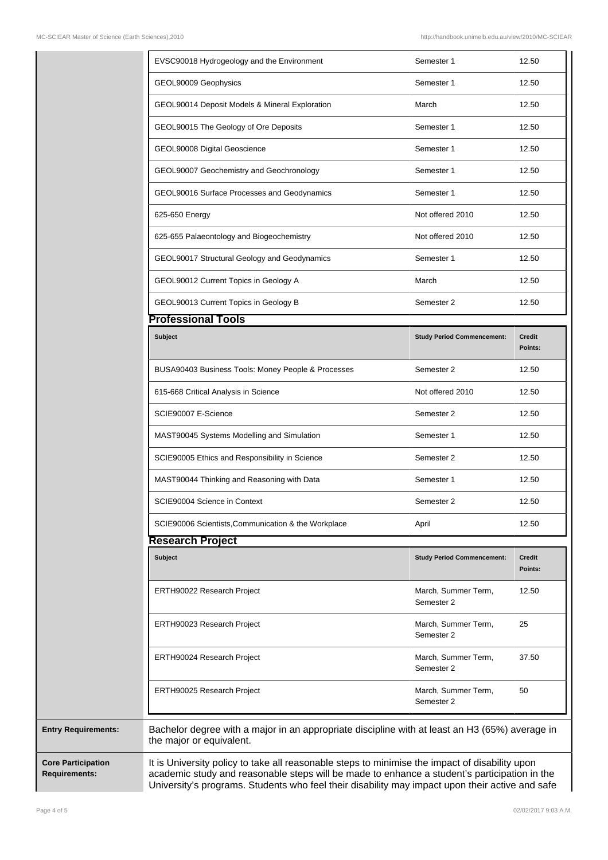|                                                   | EVSC90018 Hydrogeology and the Environment                                                                                                                                                                                                                                                        | Semester 1                        | 12.50                    |
|---------------------------------------------------|---------------------------------------------------------------------------------------------------------------------------------------------------------------------------------------------------------------------------------------------------------------------------------------------------|-----------------------------------|--------------------------|
|                                                   | GEOL90009 Geophysics                                                                                                                                                                                                                                                                              | Semester 1                        | 12.50                    |
|                                                   | GEOL90014 Deposit Models & Mineral Exploration                                                                                                                                                                                                                                                    | March                             | 12.50                    |
|                                                   | GEOL90015 The Geology of Ore Deposits                                                                                                                                                                                                                                                             | Semester 1                        | 12.50                    |
|                                                   | GEOL90008 Digital Geoscience                                                                                                                                                                                                                                                                      | Semester 1                        | 12.50                    |
|                                                   | GEOL90007 Geochemistry and Geochronology                                                                                                                                                                                                                                                          | Semester 1                        | 12.50                    |
|                                                   | GEOL90016 Surface Processes and Geodynamics                                                                                                                                                                                                                                                       | Semester 1                        | 12.50                    |
|                                                   | 625-650 Energy                                                                                                                                                                                                                                                                                    | Not offered 2010                  | 12.50                    |
|                                                   | 625-655 Palaeontology and Biogeochemistry                                                                                                                                                                                                                                                         | Not offered 2010                  | 12.50                    |
|                                                   | GEOL90017 Structural Geology and Geodynamics                                                                                                                                                                                                                                                      | Semester 1                        | 12.50                    |
|                                                   | GEOL90012 Current Topics in Geology A                                                                                                                                                                                                                                                             | March                             | 12.50                    |
|                                                   | GEOL90013 Current Topics in Geology B                                                                                                                                                                                                                                                             | Semester 2                        | 12.50                    |
|                                                   | <b>Professional Tools</b>                                                                                                                                                                                                                                                                         |                                   |                          |
|                                                   | <b>Subject</b>                                                                                                                                                                                                                                                                                    | <b>Study Period Commencement:</b> | <b>Credit</b><br>Points: |
|                                                   | BUSA90403 Business Tools: Money People & Processes                                                                                                                                                                                                                                                | Semester 2                        | 12.50                    |
|                                                   | 615-668 Critical Analysis in Science                                                                                                                                                                                                                                                              | Not offered 2010                  | 12.50                    |
|                                                   | SCIE90007 E-Science                                                                                                                                                                                                                                                                               | Semester 2                        | 12.50                    |
|                                                   | MAST90045 Systems Modelling and Simulation                                                                                                                                                                                                                                                        | Semester 1                        | 12.50                    |
|                                                   | SCIE90005 Ethics and Responsibility in Science                                                                                                                                                                                                                                                    | Semester 2                        | 12.50                    |
|                                                   | MAST90044 Thinking and Reasoning with Data                                                                                                                                                                                                                                                        | Semester 1                        | 12.50                    |
|                                                   | SCIE90004 Science in Context                                                                                                                                                                                                                                                                      | Semester 2                        | 12.50                    |
|                                                   | SCIE90006 Scientists, Communication & the Workplace                                                                                                                                                                                                                                               | April                             | 12.50                    |
|                                                   | <b>Research Project</b>                                                                                                                                                                                                                                                                           |                                   |                          |
|                                                   | <b>Subject</b>                                                                                                                                                                                                                                                                                    | <b>Study Period Commencement:</b> | Credit<br>Points:        |
|                                                   | ERTH90022 Research Project                                                                                                                                                                                                                                                                        | March, Summer Term,<br>Semester 2 | 12.50                    |
|                                                   | ERTH90023 Research Project                                                                                                                                                                                                                                                                        | March, Summer Term,<br>Semester 2 | 25                       |
|                                                   | ERTH90024 Research Project                                                                                                                                                                                                                                                                        | March, Summer Term,<br>Semester 2 | 37.50                    |
|                                                   | ERTH90025 Research Project                                                                                                                                                                                                                                                                        | March, Summer Term,<br>Semester 2 | 50                       |
| <b>Entry Requirements:</b>                        | Bachelor degree with a major in an appropriate discipline with at least an H3 (65%) average in<br>the major or equivalent.                                                                                                                                                                        |                                   |                          |
| <b>Core Participation</b><br><b>Requirements:</b> | It is University policy to take all reasonable steps to minimise the impact of disability upon<br>academic study and reasonable steps will be made to enhance a student's participation in the<br>University's programs. Students who feel their disability may impact upon their active and safe |                                   |                          |